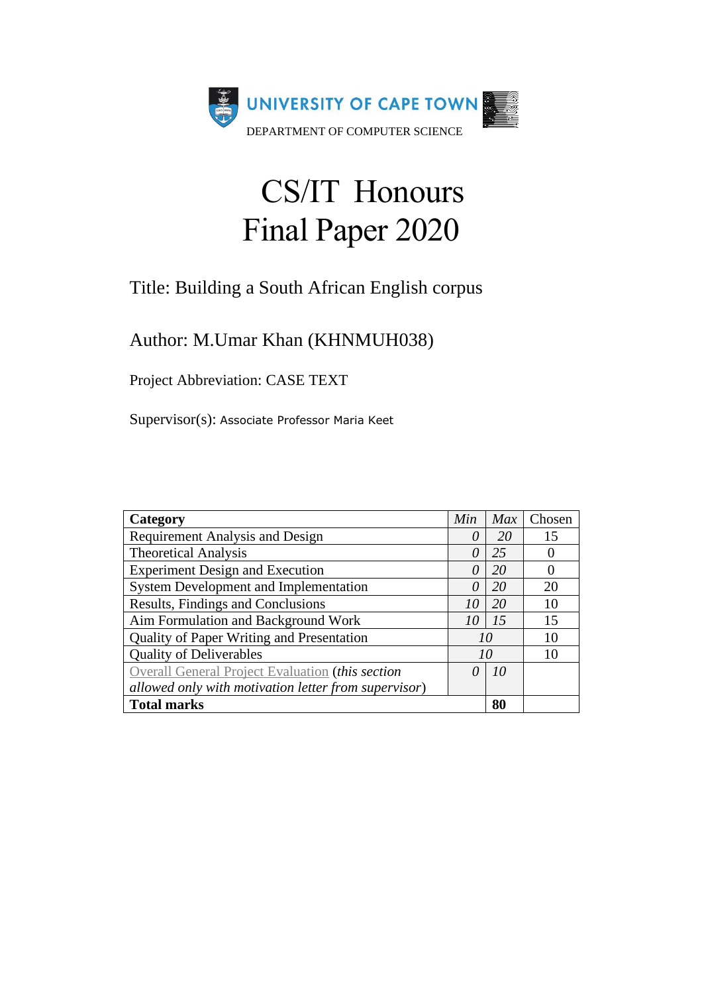

# CS/IT Honours Final Paper 2020

## Title: Building a South African English corpus

Author: M.Umar Khan (KHNMUH038)

Project Abbreviation: CASE TEXT

Supervisor(s): Associate Professor Maria Keet

| Category                                             | Min      | Max | Chosen            |
|------------------------------------------------------|----------|-----|-------------------|
| <b>Requirement Analysis and Design</b>               | $\theta$ | 20  | 15                |
| <b>Theoretical Analysis</b>                          | $\theta$ | 25  |                   |
| <b>Experiment Design and Execution</b>               | $\theta$ | 20  | $\mathbf{\Omega}$ |
| System Development and Implementation                | $\theta$ | 20  | 20                |
| Results, Findings and Conclusions                    | 10       | 20  | 10                |
| Aim Formulation and Background Work                  | 10       | 15  | 15                |
| Quality of Paper Writing and Presentation            |          | 10  | 10                |
| <b>Quality of Deliverables</b>                       |          | 10  | 10                |
| Overall General Project Evaluation (this section     | 0        | 10  |                   |
| allowed only with motivation letter from supervisor) |          |     |                   |
| <b>Total marks</b>                                   |          | 80  |                   |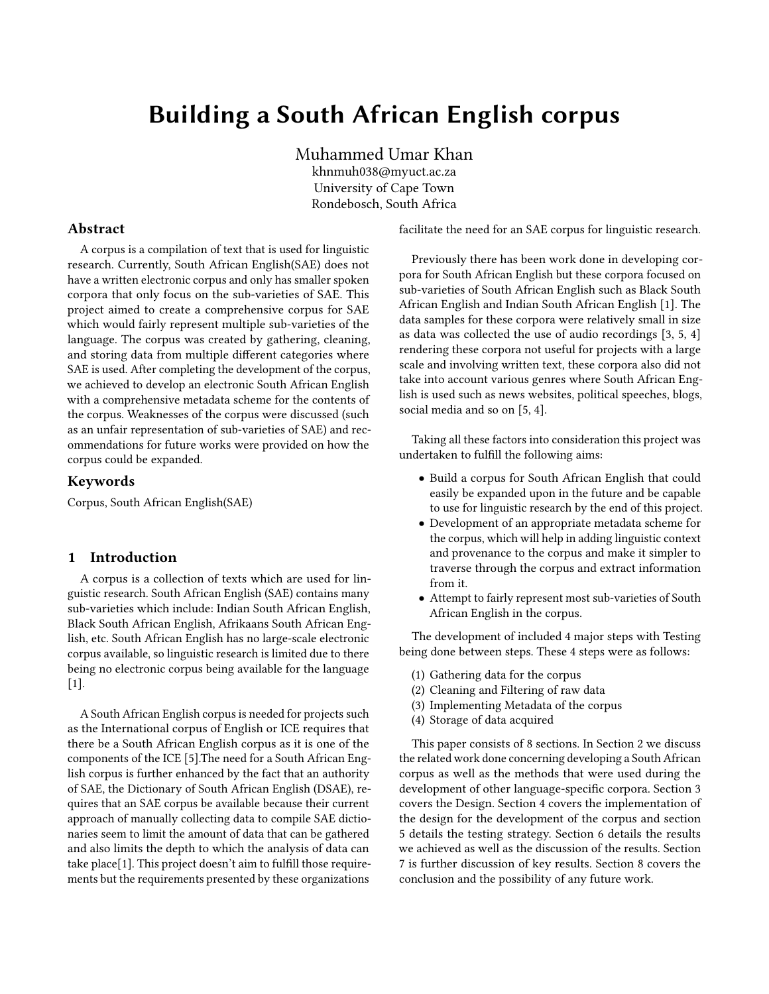## Building a South African English corpus

Muhammed Umar Khan khnmuh038@myuct.ac.za University of Cape Town Rondebosch, South Africa

#### Abstract

A corpus is a compilation of text that is used for linguistic research. Currently, South African English(SAE) does not have a written electronic corpus and only has smaller spoken corpora that only focus on the sub-varieties of SAE. This project aimed to create a comprehensive corpus for SAE which would fairly represent multiple sub-varieties of the language. The corpus was created by gathering, cleaning, and storing data from multiple different categories where SAE is used. After completing the development of the corpus, we achieved to develop an electronic South African English with a comprehensive metadata scheme for the contents of the corpus. Weaknesses of the corpus were discussed (such as an unfair representation of sub-varieties of SAE) and recommendations for future works were provided on how the corpus could be expanded.

#### Keywords

Corpus, South African English(SAE)

#### 1 Introduction

A corpus is a collection of texts which are used for linguistic research. South African English (SAE) contains many sub-varieties which include: Indian South African English, Black South African English, Afrikaans South African English, etc. South African English has no large-scale electronic corpus available, so linguistic research is limited due to there being no electronic corpus being available for the language [\[1\]](#page-10-0).

A South African English corpus is needed for projects such as the International corpus of English or ICE requires that there be a South African English corpus as it is one of the components of the ICE [\[5\]](#page-10-0).The need for a South African English corpus is further enhanced by the fact that an authority of SAE, the Dictionary of South African English (DSAE), requires that an SAE corpus be available because their current approach of manually collecting data to compile SAE dictionaries seem to limit the amount of data that can be gathered and also limits the depth to which the analysis of data can take place[\[1\]](#page-10-0). This project doesn't aim to fulfill those requirements but the requirements presented by these organizations

facilitate the need for an SAE corpus for linguistic research.

Previously there has been work done in developing corpora for South African English but these corpora focused on sub-varieties of South African English such as Black South African English and Indian South African English [\[1\]](#page-10-0). The data samples for these corpora were relatively small in size as data was collected the use of audio recordings [\[3,](#page-10-0) [5,](#page-10-0) [4\]](#page-10-0) rendering these corpora not useful for projects with a large scale and involving written text, these corpora also did not take into account various genres where South African English is used such as news websites, political speeches, blogs, social media and so on [\[5, 4\]](#page-10-0).

Taking all these factors into consideration this project was undertaken to fulfill the following aims:

- Build a corpus for South African English that could easily be expanded upon in the future and be capable to use for linguistic research by the end of this project.
- Development of an appropriate metadata scheme for the corpus, which will help in adding linguistic context and provenance to the corpus and make it simpler to traverse through the corpus and extract information from it.
- Attempt to fairly represent most sub-varieties of South African English in the corpus.

The development of included 4 major steps with Testing being done between steps. These 4 steps were as follows:

- (1) Gathering data for the corpus
- (2) Cleaning and Filtering of raw data
- (3) Implementing Metadata of the corpus
- (4) Storage of data acquired

This paper consists of 8 sections. In Section 2 we discuss the related work done concerning developing a South African corpus as well as the methods that were used during the development of other language-specific corpora. Section 3 covers the Design. Section 4 covers the implementation of the design for the development of the corpus and section 5 details the testing strategy. Section 6 details the results we achieved as well as the discussion of the results. Section 7 is further discussion of key results. Section 8 covers the conclusion and the possibility of any future work.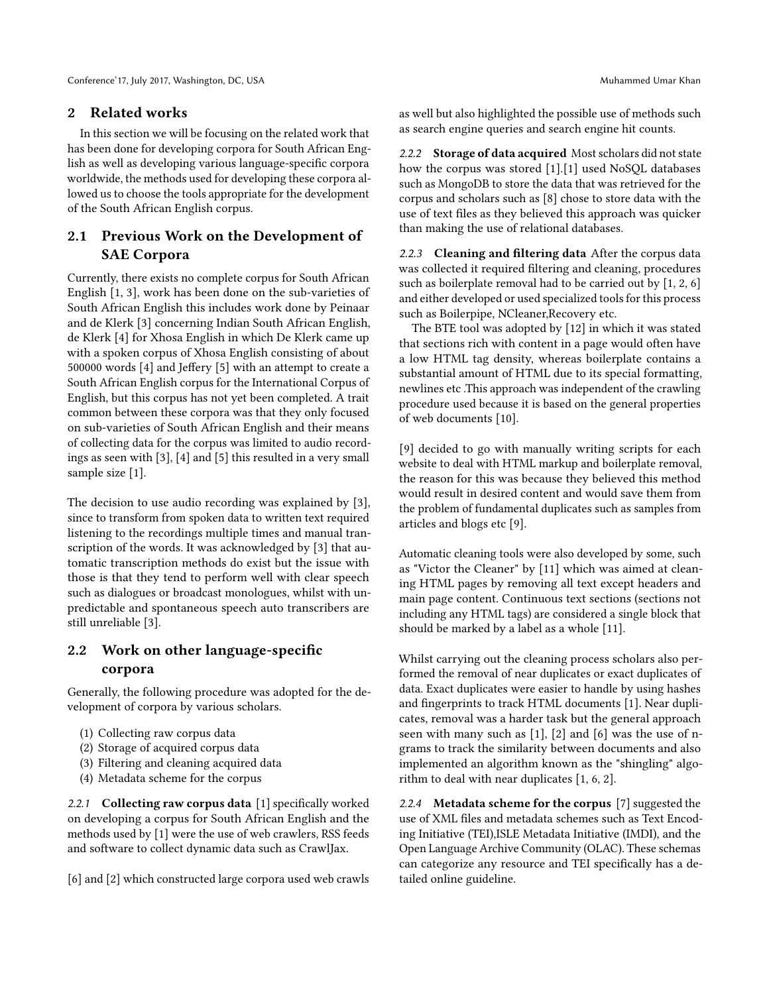#### 2 Related works

In this section we will be focusing on the related work that has been done for developing corpora for South African English as well as developing various language-specific corpora worldwide, the methods used for developing these corpora allowed us to choose the tools appropriate for the development of the South African English corpus.

#### 2.1 Previous Work on the Development of SAE Corpora

Currently, there exists no complete corpus for South African English [\[1,](#page-10-0) [3\]](#page-10-0), work has been done on the sub-varieties of South African English this includes work done by Peinaar and de Klerk [\[3\]](#page-10-0) concerning Indian South African English, de Klerk [\[4\]](#page-10-0) for Xhosa English in which De Klerk came up with a spoken corpus of Xhosa English consisting of about 500000 words [\[4\]](#page-10-0) and Jeffery [\[5\]](#page-10-0) with an attempt to create a South African English corpus for the International Corpus of English, but this corpus has not yet been completed. A trait common between these corpora was that they only focused on sub-varieties of South African English and their means of collecting data for the corpus was limited to audio recordings as seen with [\[3\]](#page-10-0), [\[4\]](#page-10-0) and [\[5\]](#page-10-0) this resulted in a very small sample size [\[1\]](#page-10-0).

The decision to use audio recording was explained by [\[3\]](#page-10-0), since to transform from spoken data to written text required listening to the recordings multiple times and manual transcription of the words. It was acknowledged by [\[3\]](#page-10-0) that automatic transcription methods do exist but the issue with those is that they tend to perform well with clear speech such as dialogues or broadcast monologues, whilst with unpredictable and spontaneous speech auto transcribers are still unreliable [\[3\]](#page-10-0).

### 2.2 Work on other language-specific corpora

Generally, the following procedure was adopted for the development of corpora by various scholars.

- (1) Collecting raw corpus data
- (2) Storage of acquired corpus data
- (3) Filtering and cleaning acquired data
- (4) Metadata scheme for the corpus

2.2.1 Collecting raw corpus data [\[1\]](#page-10-0) specifically worked on developing a corpus for South African English and the methods used by [\[1\]](#page-10-0) were the use of web crawlers, RSS feeds and software to collect dynamic data such as CrawlJax.

[\[6\]](#page-10-0) and [\[2\]](#page-10-0) which constructed large corpora used web crawls

as well but also highlighted the possible use of methods such as search engine queries and search engine hit counts.

2.2.2 Storage of data acquired Most scholars did not state how the corpus was stored [\[1\]](#page-10-0).[\[1\]](#page-10-0) used NoSQL databases such as MongoDB to store the data that was retrieved for the corpus and scholars such as [\[8\]](#page-10-0) chose to store data with the use of text files as they believed this approach was quicker than making the use of relational databases.

2.2.3 Cleaning and filtering data After the corpus data was collected it required filtering and cleaning, procedures such as boilerplate removal had to be carried out by [\[1,](#page-10-0) [2,](#page-10-0) [6\]](#page-10-0) and either developed or used specialized tools for this process such as Boilerpipe, NCleaner,Recovery etc.

The BTE tool was adopted by [\[12\]](#page-10-0) in which it was stated that sections rich with content in a page would often have a low HTML tag density, whereas boilerplate contains a substantial amount of HTML due to its special formatting, newlines etc .This approach was independent of the crawling procedure used because it is based on the general properties of web documents [\[10\]](#page-10-0).

[\[9\]](#page-10-0) decided to go with manually writing scripts for each website to deal with HTML markup and boilerplate removal, the reason for this was because they believed this method would result in desired content and would save them from the problem of fundamental duplicates such as samples from articles and blogs etc [\[9\]](#page-10-0).

Automatic cleaning tools were also developed by some, such as "Victor the Cleaner" by [\[11\]](#page-10-0) which was aimed at cleaning HTML pages by removing all text except headers and main page content. Continuous text sections (sections not including any HTML tags) are considered a single block that should be marked by a label as a whole [\[11\]](#page-10-0).

Whilst carrying out the cleaning process scholars also performed the removal of near duplicates or exact duplicates of data. Exact duplicates were easier to handle by using hashes and fingerprints to track HTML documents [\[1\]](#page-10-0). Near duplicates, removal was a harder task but the general approach seen with many such as [\[1\]](#page-10-0), [\[2\]](#page-10-0) and [\[6\]](#page-10-0) was the use of ngrams to track the similarity between documents and also implemented an algorithm known as the "shingling" algorithm to deal with near duplicates [\[1, 6, 2\]](#page-10-0).

2.2.4 Metadata scheme for the corpus [\[7\]](#page-10-0) suggested the use of XML files and metadata schemes such as Text Encoding Initiative (TEI),ISLE Metadata Initiative (IMDI), and the Open Language Archive Community (OLAC). These schemas can categorize any resource and TEI specifically has a detailed online guideline.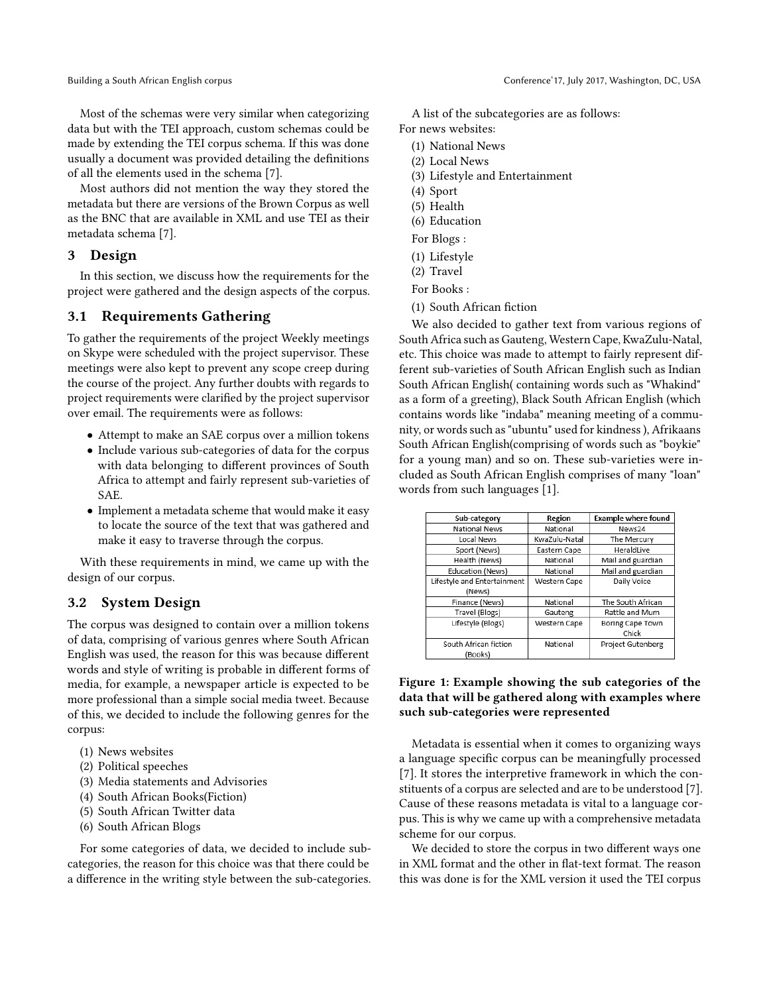Most of the schemas were very similar when categorizing data but with the TEI approach, custom schemas could be made by extending the TEI corpus schema. If this was done usually a document was provided detailing the definitions of all the elements used in the schema [\[7\]](#page-10-0).

Most authors did not mention the way they stored the metadata but there are versions of the Brown Corpus as well as the BNC that are available in XML and use TEI as their metadata schema [\[7\]](#page-10-0).

#### 3 Design

In this section, we discuss how the requirements for the project were gathered and the design aspects of the corpus.

#### 3.1 Requirements Gathering

To gather the requirements of the project Weekly meetings on Skype were scheduled with the project supervisor. These meetings were also kept to prevent any scope creep during the course of the project. Any further doubts with regards to project requirements were clarified by the project supervisor over email. The requirements were as follows:

- Attempt to make an SAE corpus over a million tokens
- Include various sub-categories of data for the corpus with data belonging to different provinces of South Africa to attempt and fairly represent sub-varieties of SAE.
- Implement a metadata scheme that would make it easy to locate the source of the text that was gathered and make it easy to traverse through the corpus.

With these requirements in mind, we came up with the design of our corpus.

#### 3.2 System Design

The corpus was designed to contain over a million tokens of data, comprising of various genres where South African English was used, the reason for this was because different words and style of writing is probable in different forms of media, for example, a newspaper article is expected to be more professional than a simple social media tweet. Because of this, we decided to include the following genres for the corpus:

- (1) News websites
- (2) Political speeches
- (3) Media statements and Advisories
- (4) South African Books(Fiction)
- (5) South African Twitter data
- (6) South African Blogs

For some categories of data, we decided to include subcategories, the reason for this choice was that there could be a difference in the writing style between the sub-categories.

A list of the subcategories are as follows: For news websites:

- (1) National News
- (2) Local News
- (3) Lifestyle and Entertainment
- (4) Sport
- (5) Health
- (6) Education
- For Blogs :
- (1) Lifestyle
- (2) Travel
- For Books :
- (1) South African fiction

We also decided to gather text from various regions of South Africa such as Gauteng, Western Cape, KwaZulu-Natal, etc. This choice was made to attempt to fairly represent different sub-varieties of South African English such as Indian South African English( containing words such as "Whakind" as a form of a greeting), Black South African English (which contains words like "indaba" meaning meeting of a community, or words such as "ubuntu" used for kindness ), Afrikaans South African English(comprising of words such as "boykie" for a young man) and so on. These sub-varieties were included as South African English comprises of many "loan" words from such languages [\[1\]](#page-10-0).

| Sub-category                | Region        | <b>Example where found</b> |
|-----------------------------|---------------|----------------------------|
| National News               | National      | News24                     |
| Local News                  | KwaZulu-Natal | The Mercury                |
| Sport (News)                | Eastern Cape  | HeraldLive                 |
| Health (News)               | National      | Mail and guardian          |
| Education (News)            | National      | Mail and guardian          |
| Lifestyle and Entertainment | Western Cape  | Daily Voice                |
| (News)                      |               |                            |
| Finance (News)              | National      | The South African          |
| Travel (Blogs)              | Gauteng       | Rattle and Mum             |
| Lifestyle (Blogs)           | Western Cape  | Boring Cape Town           |
|                             |               | Chick                      |
| South African fiction       | National      | Project Gutenberg          |
| (Books)                     |               |                            |

#### Figure 1: Example showing the sub categories of the data that will be gathered along with examples where such sub-categories were represented

Metadata is essential when it comes to organizing ways a language specific corpus can be meaningfully processed [\[7\]](#page-10-0). It stores the interpretive framework in which the constituents of a corpus are selected and are to be understood [\[7\]](#page-10-0). Cause of these reasons metadata is vital to a language corpus. This is why we came up with a comprehensive metadata scheme for our corpus.

We decided to store the corpus in two different ways one in XML format and the other in flat-text format. The reason this was done is for the XML version it used the TEI corpus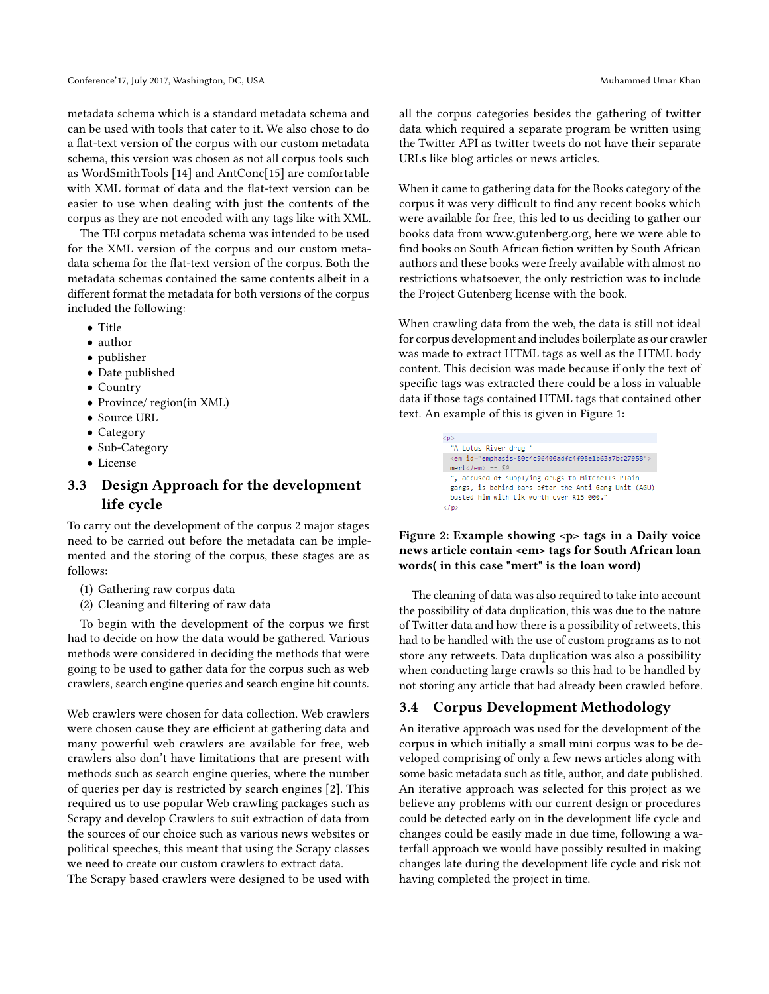metadata schema which is a standard metadata schema and can be used with tools that cater to it. We also chose to do a flat-text version of the corpus with our custom metadata schema, this version was chosen as not all corpus tools such as WordSmithTools [\[14\]](#page-10-0) and AntConc[\[15\]](#page-10-0) are comfortable with XML format of data and the flat-text version can be easier to use when dealing with just the contents of the corpus as they are not encoded with any tags like with XML.

The TEI corpus metadata schema was intended to be used for the XML version of the corpus and our custom metadata schema for the flat-text version of the corpus. Both the metadata schemas contained the same contents albeit in a different format the metadata for both versions of the corpus included the following:

- Title
- author
- publisher
- Date published
- Country
- Province/ region(in XML)
- Source URL
- Category
- Sub-Category
- License

#### 3.3 Design Approach for the development life cycle

To carry out the development of the corpus 2 major stages need to be carried out before the metadata can be implemented and the storing of the corpus, these stages are as follows:

- (1) Gathering raw corpus data
- (2) Cleaning and filtering of raw data

To begin with the development of the corpus we first had to decide on how the data would be gathered. Various methods were considered in deciding the methods that were going to be used to gather data for the corpus such as web crawlers, search engine queries and search engine hit counts.

Web crawlers were chosen for data collection. Web crawlers were chosen cause they are efficient at gathering data and many powerful web crawlers are available for free, web crawlers also don't have limitations that are present with methods such as search engine queries, where the number of queries per day is restricted by search engines [\[2\]](#page-10-0). This required us to use popular Web crawling packages such as Scrapy and develop Crawlers to suit extraction of data from the sources of our choice such as various news websites or political speeches, this meant that using the Scrapy classes we need to create our custom crawlers to extract data.

The Scrapy based crawlers were designed to be used with

all the corpus categories besides the gathering of twitter data which required a separate program be written using the Twitter API as twitter tweets do not have their separate URLs like blog articles or news articles.

When it came to gathering data for the Books category of the corpus it was very difficult to find any recent books which were available for free, this led to us deciding to gather our books data from www.gutenberg.org, here we were able to find books on South African fiction written by South African authors and these books were freely available with almost no restrictions whatsoever, the only restriction was to include the Project Gutenberg license with the book.

When crawling data from the web, the data is still not ideal for corpus development and includes boilerplate as our crawler was made to extract HTML tags as well as the HTML body content. This decision was made because if only the text of specific tags was extracted there could be a loss in valuable data if those tags contained HTML tags that contained other text. An example of this is given in Figure 1:

> $\langle p \rangle$ "A Lotus River drug " <em id="emphasis-80c4c96400adfc4f98e1b63a7bc27958">  $mert$ ", accused of supplying drugs to Mitchells Plain gangs, is behind bars after the Anti-Gang Unit (AGU) busted him with tik worth over R15 000.'  $\langle$ /p>

#### Figure 2: Example showing <p> tags in a Daily voice news article contain <em> tags for South African loan words( in this case "mert" is the loan word)

The cleaning of data was also required to take into account the possibility of data duplication, this was due to the nature of Twitter data and how there is a possibility of retweets, this had to be handled with the use of custom programs as to not store any retweets. Data duplication was also a possibility when conducting large crawls so this had to be handled by not storing any article that had already been crawled before.

#### 3.4 Corpus Development Methodology

An iterative approach was used for the development of the corpus in which initially a small mini corpus was to be developed comprising of only a few news articles along with some basic metadata such as title, author, and date published. An iterative approach was selected for this project as we believe any problems with our current design or procedures could be detected early on in the development life cycle and changes could be easily made in due time, following a waterfall approach we would have possibly resulted in making changes late during the development life cycle and risk not having completed the project in time.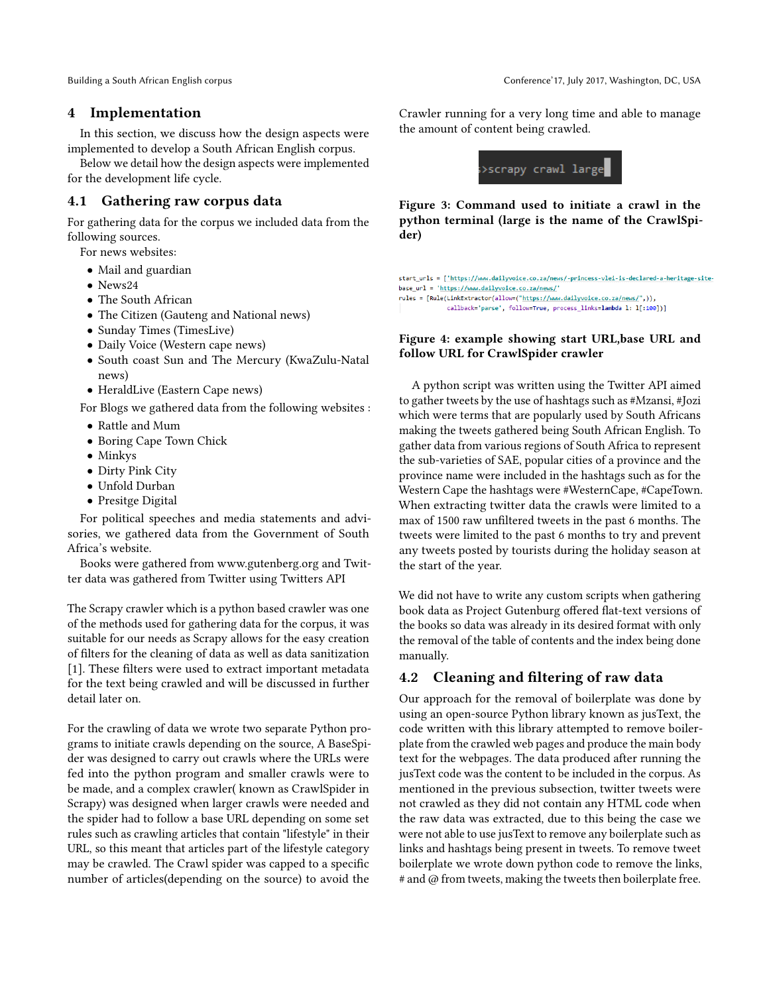#### 4 Implementation

In this section, we discuss how the design aspects were implemented to develop a South African English corpus.

Below we detail how the design aspects were implemented for the development life cycle.

#### 4.1 Gathering raw corpus data

For gathering data for the corpus we included data from the following sources.

For news websites:

- Mail and guardian
- News24
- The South African
- The Citizen (Gauteng and National news)
- Sunday Times (TimesLive)
- Daily Voice (Western cape news)
- South coast Sun and The Mercury (KwaZulu-Natal news)
- HeraldLive (Eastern Cape news)

For Blogs we gathered data from the following websites :

- Rattle and Mum
- Boring Cape Town Chick
- Minkys
- Dirty Pink City
- Unfold Durban
- Presitge Digital

For political speeches and media statements and advisories, we gathered data from the Government of South Africa's website.

Books were gathered from www.gutenberg.org and Twitter data was gathered from Twitter using Twitters API

The Scrapy crawler which is a python based crawler was one of the methods used for gathering data for the corpus, it was suitable for our needs as Scrapy allows for the easy creation of filters for the cleaning of data as well as data sanitization [\[1\]](#page-10-0). These filters were used to extract important metadata for the text being crawled and will be discussed in further detail later on.

For the crawling of data we wrote two separate Python programs to initiate crawls depending on the source, A BaseSpider was designed to carry out crawls where the URLs were fed into the python program and smaller crawls were to be made, and a complex crawler( known as CrawlSpider in Scrapy) was designed when larger crawls were needed and the spider had to follow a base URL depending on some set rules such as crawling articles that contain "lifestyle" in their URL, so this meant that articles part of the lifestyle category may be crawled. The Crawl spider was capped to a specific number of articles(depending on the source) to avoid the

Crawler running for a very long time and able to manage the amount of content being crawled.



Figure 3: Command used to initiate a crawl in the python terminal (large is the name of the CrawlSpider)

start\_urls = ['https://www.dailyvoice.co.za/news/-princess-vlei-is-declared-a-heritage-site base\_url = 'https://www.dailyvoice.co.za/news/ rules = [Rule(LinkExtractor(allow=("https://www.dailyvoice.co.za/news/",)), callback='parse', follow=True, process\_links=lambda 1: 1[:100])]

#### Figure 4: example showing start URL,base URL and follow URL for CrawlSpider crawler

A python script was written using the Twitter API aimed to gather tweets by the use of hashtags such as #Mzansi, #Jozi which were terms that are popularly used by South Africans making the tweets gathered being South African English. To gather data from various regions of South Africa to represent the sub-varieties of SAE, popular cities of a province and the province name were included in the hashtags such as for the Western Cape the hashtags were #WesternCape, #CapeTown. When extracting twitter data the crawls were limited to a max of 1500 raw unfiltered tweets in the past 6 months. The tweets were limited to the past 6 months to try and prevent any tweets posted by tourists during the holiday season at the start of the year.

We did not have to write any custom scripts when gathering book data as Project Gutenburg offered flat-text versions of the books so data was already in its desired format with only the removal of the table of contents and the index being done manually.

#### 4.2 Cleaning and filtering of raw data

Our approach for the removal of boilerplate was done by using an open-source Python library known as jusText, the code written with this library attempted to remove boilerplate from the crawled web pages and produce the main body text for the webpages. The data produced after running the jusText code was the content to be included in the corpus. As mentioned in the previous subsection, twitter tweets were not crawled as they did not contain any HTML code when the raw data was extracted, due to this being the case we were not able to use jusText to remove any boilerplate such as links and hashtags being present in tweets. To remove tweet boilerplate we wrote down python code to remove the links, # and @ from tweets, making the tweets then boilerplate free.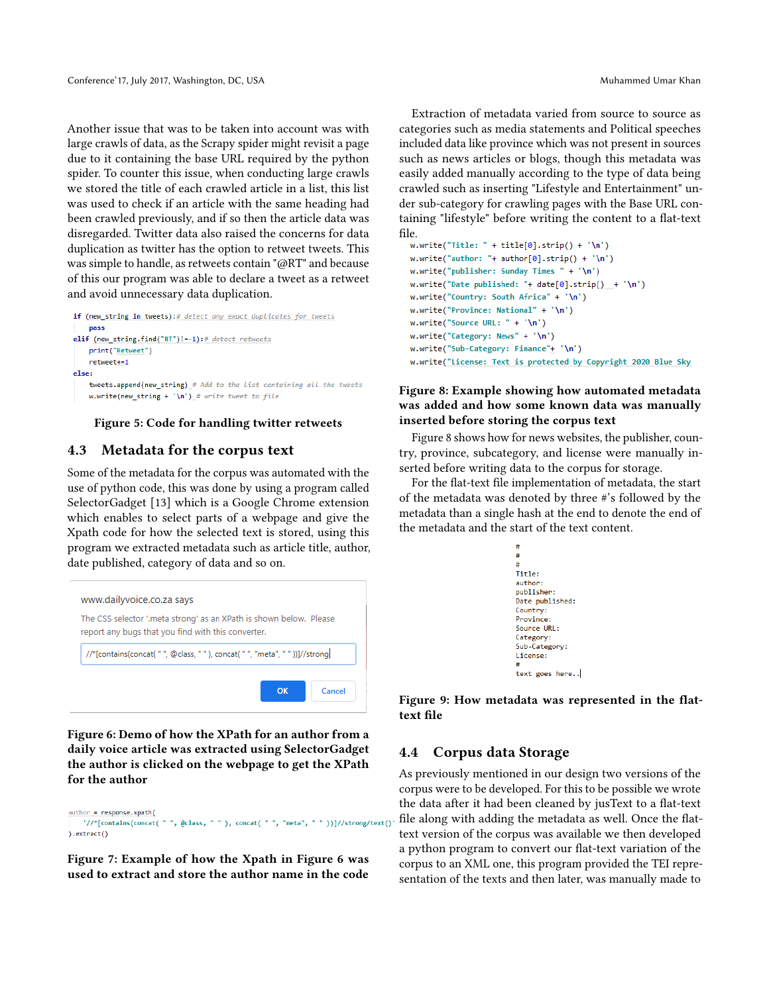Another issue that was to be taken into account was with large crawls of data, as the Scrapy spider might revisit a page due to it containing the base URL required by the python spider. To counter this issue, when conducting large crawls we stored the title of each crawled article in a list, this list was used to check if an article with the same heading had been crawled previously, and if so then the article data was disregarded. Twitter data also raised the concerns for data duplication as twitter has the option to retweet tweets. This was simple to handle, as retweets contain "@RT" and because of this our program was able to declare a tweet as a retweet and avoid unnecessary data duplication.

```
if (new string in tweets):# detect any exact duplicates for tweets
    pass
elif (new_string.find("RT")!=-1):# detect retweets
   print("Retweet")
   retweet+=1
else:
    tweets.append(new_string) # Add to the List containing all the tweets
    w.write(new_string + '\n') # write tweet to file
```
#### Figure 5: Code for handling twitter retweets

#### 4.3 Metadata for the corpus text

Some of the metadata for the corpus was automated with the use of python code, this was done by using a program called SelectorGadget [\[13\]](#page-10-0) which is a Google Chrome extension which enables to select parts of a webpage and give the Xpath code for how the selected text is stored, using this program we extracted metadata such as article title, author, date published, category of data and so on.



Figure 6: Demo of how the XPath for an author from a daily voice article was extracted using SelectorGadget the author is clicked on the webpage to get the XPath for the author

```
author = response.xpath(
    '//*[contains(concat("", @class, ""), concat("", "meta", " " ))]//strong/text()).extract()
```
Figure 7: Example of how the Xpath in Figure 6 was used to extract and store the author name in the code

Extraction of metadata varied from source to source as categories such as media statements and Political speeches included data like province which was not present in sources such as news articles or blogs, though this metadata was easily added manually according to the type of data being crawled such as inserting "Lifestyle and Entertainment" under sub-category for crawling pages with the Base URL containing "lifestyle" before writing the content to a flat-text file.<br>w.write("Title: " + title[0].strip() + '\n')

```
w.write("author: "+ author[0].strip() + '\n')
w.write("publisher: Sunday Times " + '\n')
w.write("Date published: "\pm date[0].strip()<sub>m</sub>+ '\n')
w.write("Country: South Africa" + '\n')
w.write("Province: National" + '\n')
w.write("Source URL: " + 'n')w.write("Category: News" + '\n')
w.write("Sub-Category: Finance"+ '\n')
w.write("License: Text is protected by Copyright 2020 Blue Sky
```
#### Figure 8: Example showing how automated metadata was added and how some known data was manually inserted before storing the corpus text

Figure 8 shows how for news websites, the publisher, country, province, subcategory, and license were manually inserted before writing data to the corpus for storage.

For the flat-text file implementation of metadata, the start of the metadata was denoted by three #'s followed by the metadata than a single hash at the end to denote the end of the metadata and the start of the text content.

```
Title:
author:
publisher:
.<br>Date published:
Country:
Province:
Source URL:
Category:
Sub-Category:
License:
text goes here..
```
Figure 9: How metadata was represented in the flattext file

#### 4.4 Corpus data Storage

As previously mentioned in our design two versions of the corpus were to be developed. For this to be possible we wrote the data after it had been cleaned by jusText to a flat-text file along with adding the metadata as well. Once the flattext version of the corpus was available we then developed a python program to convert our flat-text variation of the corpus to an XML one, this program provided the TEI representation of the texts and then later, was manually made to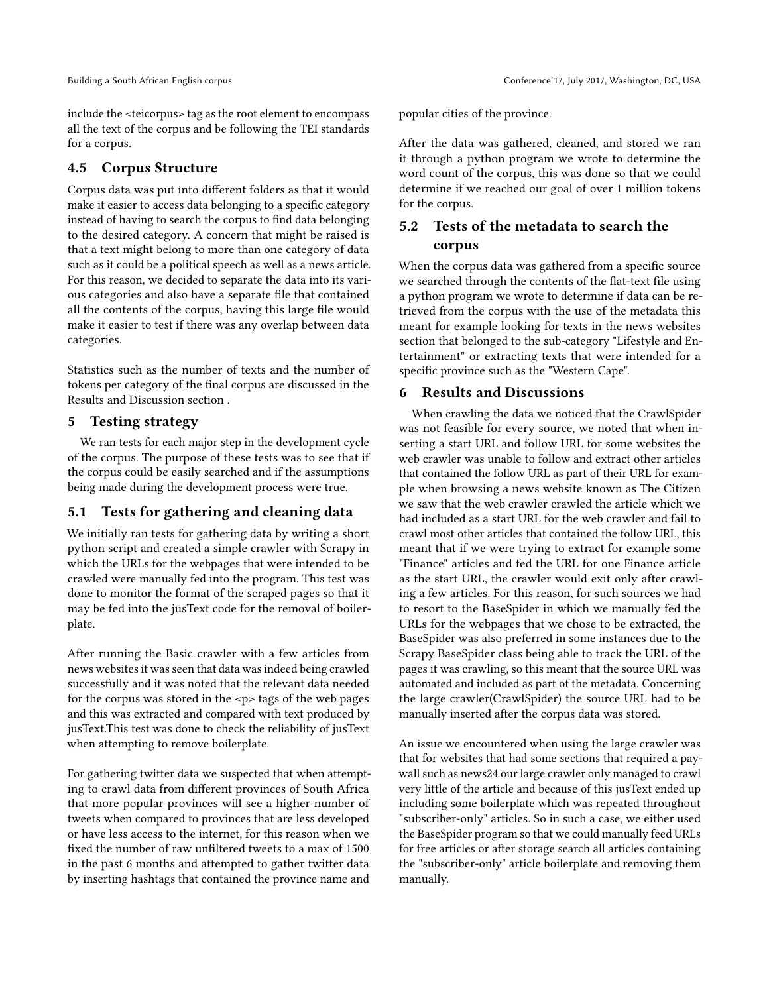include the <teicorpus> tag as the root element to encompass all the text of the corpus and be following the TEI standards for a corpus.

#### 4.5 Corpus Structure

Corpus data was put into different folders as that it would make it easier to access data belonging to a specific category instead of having to search the corpus to find data belonging to the desired category. A concern that might be raised is that a text might belong to more than one category of data such as it could be a political speech as well as a news article. For this reason, we decided to separate the data into its various categories and also have a separate file that contained all the contents of the corpus, having this large file would make it easier to test if there was any overlap between data categories.

Statistics such as the number of texts and the number of tokens per category of the final corpus are discussed in the Results and Discussion section .

#### 5 Testing strategy

We ran tests for each major step in the development cycle of the corpus. The purpose of these tests was to see that if the corpus could be easily searched and if the assumptions being made during the development process were true.

#### 5.1 Tests for gathering and cleaning data

We initially ran tests for gathering data by writing a short python script and created a simple crawler with Scrapy in which the URLs for the webpages that were intended to be crawled were manually fed into the program. This test was done to monitor the format of the scraped pages so that it may be fed into the jusText code for the removal of boilerplate.

After running the Basic crawler with a few articles from news websites it was seen that data was indeed being crawled successfully and it was noted that the relevant data needed for the corpus was stored in the  $-p$  tags of the web pages and this was extracted and compared with text produced by jusText.This test was done to check the reliability of jusText when attempting to remove boilerplate.

For gathering twitter data we suspected that when attempting to crawl data from different provinces of South Africa that more popular provinces will see a higher number of tweets when compared to provinces that are less developed or have less access to the internet, for this reason when we fixed the number of raw unfiltered tweets to a max of 1500 in the past 6 months and attempted to gather twitter data by inserting hashtags that contained the province name and

popular cities of the province.

After the data was gathered, cleaned, and stored we ran it through a python program we wrote to determine the word count of the corpus, this was done so that we could determine if we reached our goal of over 1 million tokens for the corpus.

### 5.2 Tests of the metadata to search the corpus

When the corpus data was gathered from a specific source we searched through the contents of the flat-text file using a python program we wrote to determine if data can be retrieved from the corpus with the use of the metadata this meant for example looking for texts in the news websites section that belonged to the sub-category "Lifestyle and Entertainment" or extracting texts that were intended for a specific province such as the "Western Cape".

#### 6 Results and Discussions

When crawling the data we noticed that the CrawlSpider was not feasible for every source, we noted that when inserting a start URL and follow URL for some websites the web crawler was unable to follow and extract other articles that contained the follow URL as part of their URL for example when browsing a news website known as The Citizen we saw that the web crawler crawled the article which we had included as a start URL for the web crawler and fail to crawl most other articles that contained the follow URL, this meant that if we were trying to extract for example some "Finance" articles and fed the URL for one Finance article as the start URL, the crawler would exit only after crawling a few articles. For this reason, for such sources we had to resort to the BaseSpider in which we manually fed the URLs for the webpages that we chose to be extracted, the BaseSpider was also preferred in some instances due to the Scrapy BaseSpider class being able to track the URL of the pages it was crawling, so this meant that the source URL was automated and included as part of the metadata. Concerning the large crawler(CrawlSpider) the source URL had to be manually inserted after the corpus data was stored.

An issue we encountered when using the large crawler was that for websites that had some sections that required a paywall such as news24 our large crawler only managed to crawl very little of the article and because of this jusText ended up including some boilerplate which was repeated throughout "subscriber-only" articles. So in such a case, we either used the BaseSpider program so that we could manually feed URLs for free articles or after storage search all articles containing the "subscriber-only" article boilerplate and removing them manually.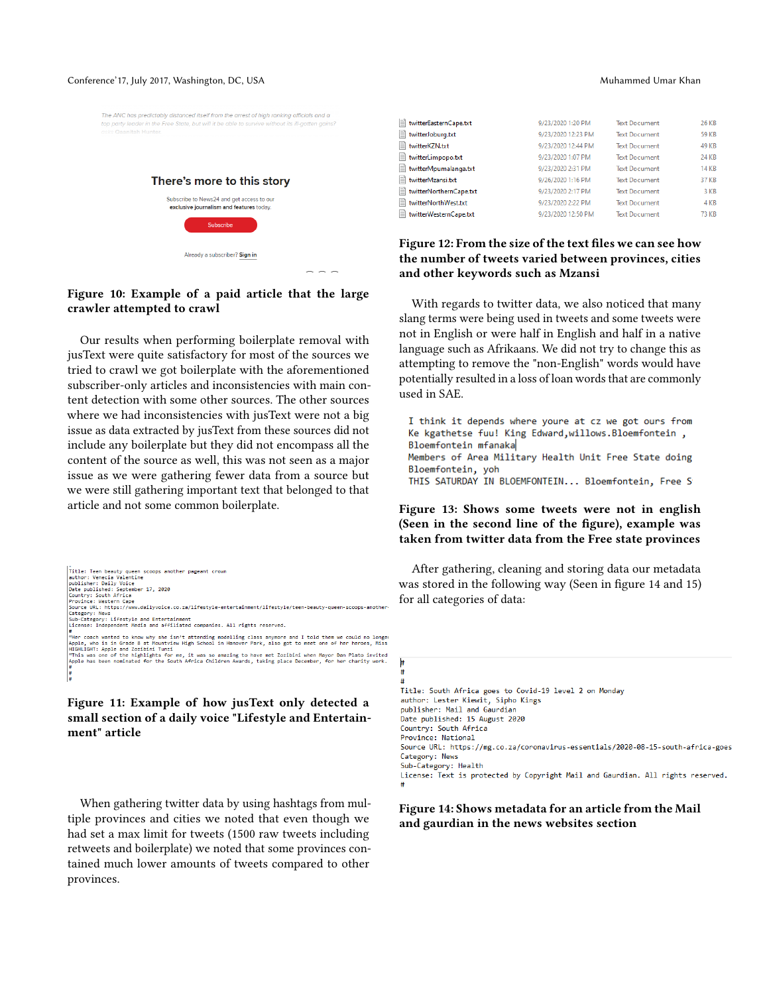#### Conference' 17, July 2017, Washington, DC, USA Muhammed Umar Khan

### The ANC has predictably distanced itself from the arrest of high ranking officials and a top party leader in the Free State, but will it be able to survive without its ill-gotten gains There's more to this story Subscribe to News24 and get access to our exclusive journalism and features today Subscribe Already a subscriber? Sign in

#### Figure 10: Example of a paid article that the large crawler attempted to crawl

Our results when performing boilerplate removal with jusText were quite satisfactory for most of the sources we tried to crawl we got boilerplate with the aforementioned subscriber-only articles and inconsistencies with main content detection with some other sources. The other sources where we had inconsistencies with jusText were not a big issue as data extracted by jusText from these sources did not include any boilerplate but they did not encompass all the content of the source as well, this was not seen as a major issue as we were gathering fewer data from a source but we were still gathering important text that belonged to that article and not some common boilerplate.

| Title: Teen beauty queen scoops another pageant crown                                                        |
|--------------------------------------------------------------------------------------------------------------|
| author: Venecia Valentine                                                                                    |
| publisher: Daily Voice                                                                                       |
| Date published: September 17, 2020                                                                           |
| Country: South Africa                                                                                        |
| Province: Western Cape                                                                                       |
| Source URL: https://www.dailyvoice.co.za/lifestyle-entertainment/lifestyle/teen-beauty-queen-scoops-another- |
| Category: News                                                                                               |
| Sub-Category: Lifestyle and Entertainment                                                                    |
| License: Independent Media and affiliated companies. All rights reserved.                                    |
|                                                                                                              |
| "Her coach wanted to know why she isn't attending modelling class anymore and I told them we could no longer |
| Apple, who is in Grade 8 at Mountview High School in Hanover Park, also got to meet one of her heroes, Miss  |
| HIGHLIGHT: Apple and Zozibini Tunzi                                                                          |
| "This was one of the highlights for me, it was so amazing to have met Zozibini when Mayor Dan Plato invited  |
| Apple has been nominated for the South Africa Children Awards, taking place December, for her charity work.  |
| #                                                                                                            |
| #                                                                                                            |
| #                                                                                                            |

#### Figure 11: Example of how jusText only detected a small section of a daily voice "Lifestyle and Entertainment" article

When gathering twitter data by using hashtags from multiple provinces and cities we noted that even though we had set a max limit for tweets (1500 raw tweets including retweets and boilerplate) we noted that some provinces contained much lower amounts of tweets compared to other provinces.

| twitterEasternCape.txt  | 9/23/2020 1:20 PM  | <b>Text Document</b> | <b>26 KB</b> |
|-------------------------|--------------------|----------------------|--------------|
| twitterJoburg.txt       | 9/23/2020 12:23 PM | <b>Text Document</b> | <b>59 KB</b> |
| twitterKZN.txt          | 9/23/2020 12:44 PM | <b>Text Document</b> | <b>49 KB</b> |
| twitterLimpopo.txt      | 9/23/2020 1:07 PM  | <b>Text Document</b> | 24 KB        |
| twitterMpumalanga.txt   | 9/23/2020 2:31 PM  | <b>Text Document</b> | <b>14 KB</b> |
| twitterMzansi.txt       | 9/26/2020 1:16 PM  | <b>Text Document</b> | 37 KB        |
| twitterNorthernCape.txt | 9/23/2020 2:17 PM  | <b>Text Document</b> | 3 KB         |
| twitterNorthWest.txt    | 9/23/2020 2:22 PM  | <b>Text Document</b> | 4 KB         |
| twitterWesternCape.txt  | 9/23/2020 12:50 PM | <b>Text Document</b> | <b>73 KB</b> |
|                         |                    |                      |              |

#### Figure 12: From the size of the text files we can see how the number of tweets varied between provinces, cities and other keywords such as Mzansi

With regards to twitter data, we also noticed that many slang terms were being used in tweets and some tweets were not in English or were half in English and half in a native language such as Afrikaans. We did not try to change this as attempting to remove the "non-English" words would have potentially resulted in a loss of loan words that are commonly used in SAE.

I think it depends where youre at cz we got ours from Ke kgathetse fuu! King Edward, willows. Bloemfontein, Bloemfontein mfanaka Members of Area Military Health Unit Free State doing Bloemfontein, yoh THIS SATURDAY IN BLOEMFONTEIN... Bloemfontein, Free S

#### Figure 13: Shows some tweets were not in english (Seen in the second line of the figure), example was taken from twitter data from the Free state provinces

After gathering, cleaning and storing data our metadata was stored in the following way (Seen in figure 14 and 15) for all categories of data:

##

Title: South Africa goes to Covid-19 level 2 on Monday author: Lester Kiewit, Sipho Kings publisher: Mail and Gaurdian Date published: 15 August 2020 Country: South Africa Province: National Source URL: https://mg.co.za/coronavirus-essentials/2020-08-15-south-africa-goes Category: News Sub-Category: Health

#### Figure 14: Shows metadata for an article from the Mail and gaurdian in the news websites section

License: Text is protected by Copyright Mail and Gaurdian. All rights reserved.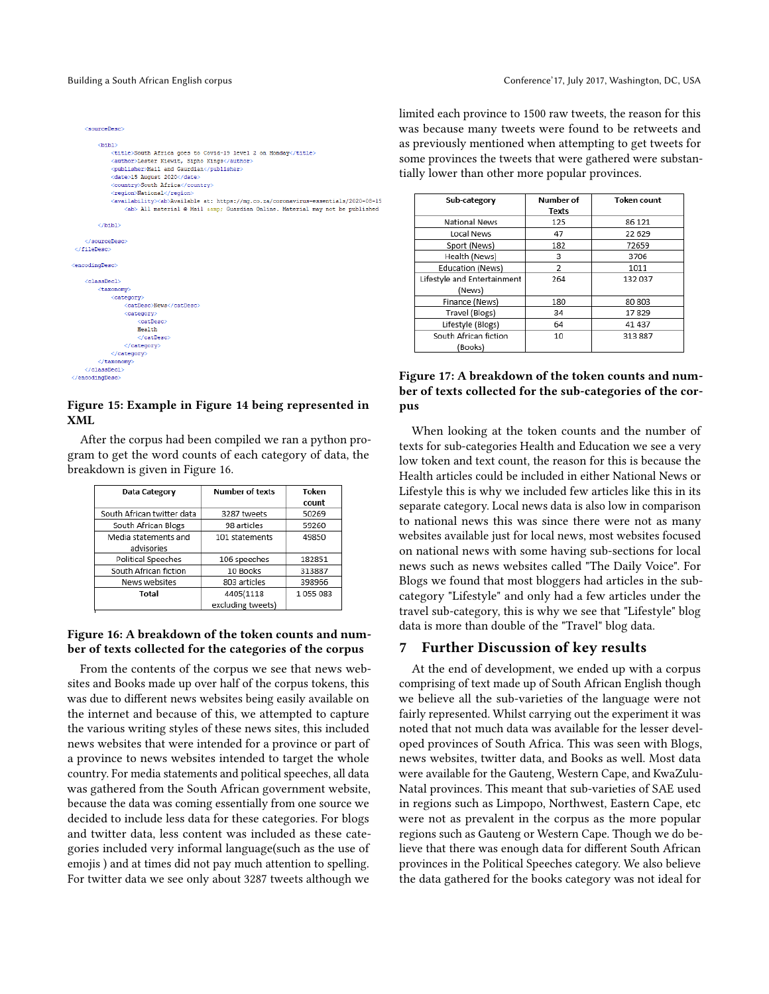```
<sourceDesc>
        <br />
d>
d>
d>
d>
d>
d+
            <title>South Africa goes to Covid-19 level 2 on Monday</title>
            <author>Lester Kiewit, Sipho Kings</author>
             <date>15 August 2020</date>
            <country>South Africa</country>
            <region>National</region
            <availability><ab>Available at: https://mg.co.za/coronavirus-essentials/2020-08-15
                <ab> All material @ Mail samp; Guardian Online. Material may not be published
        \langle/bibl>
    </aourceDeac>
\langle/fileDesc)
<encodingDesc>
   <classDecl>
        <taxonomv
            <category>
                <catDesc>News</catDesc
                <category>
                     .<br>GatDesc>
                    Health
                    \epsilon/catDesc\epsilon</category>
            </category>
        </taxonomy>
    </classDecl>
</encodingDesc>
```
#### Figure 15: Example in Figure 14 being represented in XML

After the corpus had been compiled we ran a python program to get the word counts of each category of data, the breakdown is given in Figure 16.

| Data Category              | <b>Number of texts</b> | Token   |
|----------------------------|------------------------|---------|
|                            |                        | count   |
| South African twitter data | 3287 tweets            | 50269   |
| South African Blogs        | 98 articles            | 59260   |
| Media statements and       | 101 statements         | 49850   |
| advisories                 |                        |         |
| Political Speeches         | 106 speeches           | 182851  |
| South African fiction      | 10 Books               | 313887  |
| News websites              | 803 articles           | 398966  |
| Total                      | 4405(1118              | 1055083 |
|                            | excluding tweets)      |         |

#### Figure 16: A breakdown of the token counts and number of texts collected for the categories of the corpus

From the contents of the corpus we see that news websites and Books made up over half of the corpus tokens, this was due to different news websites being easily available on the internet and because of this, we attempted to capture the various writing styles of these news sites, this included news websites that were intended for a province or part of a province to news websites intended to target the whole country. For media statements and political speeches, all data was gathered from the South African government website, because the data was coming essentially from one source we decided to include less data for these categories. For blogs and twitter data, less content was included as these categories included very informal language(such as the use of emojis ) and at times did not pay much attention to spelling. For twitter data we see only about 3287 tweets although we

limited each province to 1500 raw tweets, the reason for this was because many tweets were found to be retweets and as previously mentioned when attempting to get tweets for some provinces the tweets that were gathered were substantially lower than other more popular provinces.

| Sub-category                | <b>Number of</b> | <b>Token count</b> |
|-----------------------------|------------------|--------------------|
|                             | Texts            |                    |
| <b>National News</b>        | 125              | 86 121             |
| Local News                  | 47               | 22 629             |
| Sport (News)                | 182              | 72659              |
| Health (News)               | 3                | 3706               |
| Education (News)            | 2                | 1011               |
| Lifestyle and Entertainment | 264              | 132 037            |
| (News)                      |                  |                    |
| Finance (News)              | 180              | 80 803             |
| Travel (Blogs)              | 34               | 17829              |
| Lifestyle (Blogs)           | 64               | 41 437             |
| South African fiction       | 10               | 313 887            |
| (Books)                     |                  |                    |

#### Figure 17: A breakdown of the token counts and number of texts collected for the sub-categories of the corpus

When looking at the token counts and the number of texts for sub-categories Health and Education we see a very low token and text count, the reason for this is because the Health articles could be included in either National News or Lifestyle this is why we included few articles like this in its separate category. Local news data is also low in comparison to national news this was since there were not as many websites available just for local news, most websites focused on national news with some having sub-sections for local news such as news websites called "The Daily Voice". For Blogs we found that most bloggers had articles in the subcategory "Lifestyle" and only had a few articles under the travel sub-category, this is why we see that "Lifestyle" blog data is more than double of the "Travel" blog data.

#### 7 Further Discussion of key results

At the end of development, we ended up with a corpus comprising of text made up of South African English though we believe all the sub-varieties of the language were not fairly represented. Whilst carrying out the experiment it was noted that not much data was available for the lesser developed provinces of South Africa. This was seen with Blogs, news websites, twitter data, and Books as well. Most data were available for the Gauteng, Western Cape, and KwaZulu-Natal provinces. This meant that sub-varieties of SAE used in regions such as Limpopo, Northwest, Eastern Cape, etc were not as prevalent in the corpus as the more popular regions such as Gauteng or Western Cape. Though we do believe that there was enough data for different South African provinces in the Political Speeches category. We also believe the data gathered for the books category was not ideal for